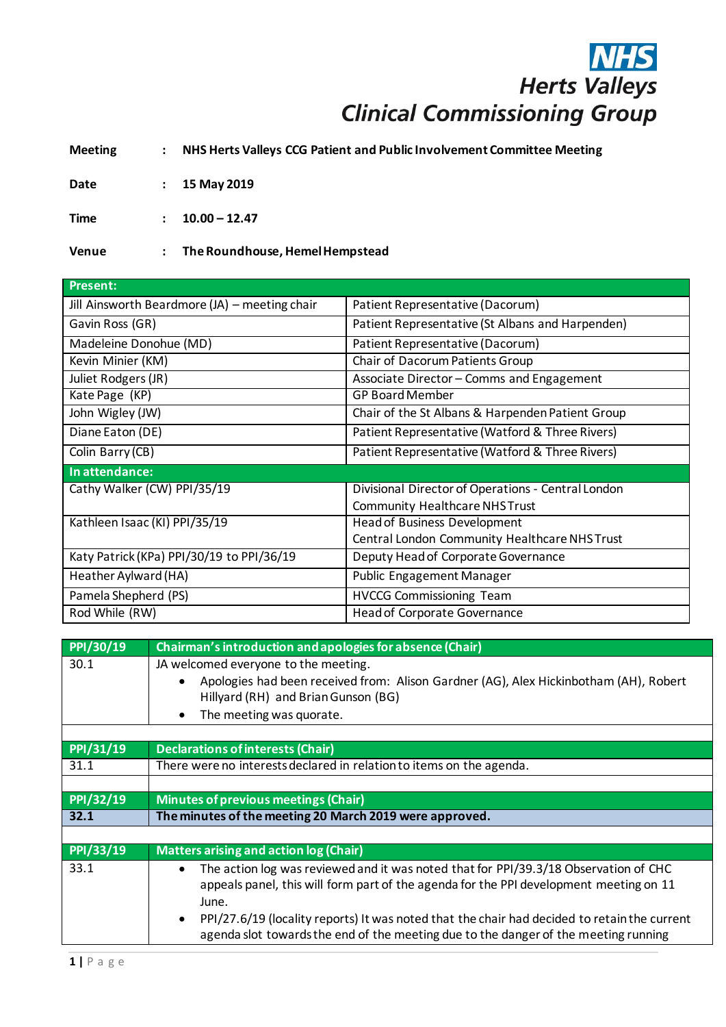## **NHS**<br>Herts Valleys **Clinical Commissioning Group**

**Meeting : NHS Herts Valleys CCG Patient and Public Involvement Committee Meeting**

**Date : 15 May 2019**

**Time : 10.00 – 12.47**

**Venue : The Roundhouse, Hemel Hempstead**

| <b>Present:</b>                               |                                                    |
|-----------------------------------------------|----------------------------------------------------|
| Jill Ainsworth Beardmore (JA) - meeting chair | Patient Representative (Dacorum)                   |
| Gavin Ross (GR)                               | Patient Representative (St Albans and Harpenden)   |
| Madeleine Donohue (MD)                        | Patient Representative (Dacorum)                   |
| Kevin Minier (KM)                             | Chair of Dacorum Patients Group                    |
| Juliet Rodgers (JR)                           | Associate Director - Comms and Engagement          |
| Kate Page (KP)                                | <b>GP Board Member</b>                             |
| John Wigley (JW)                              | Chair of the St Albans & Harpenden Patient Group   |
| Diane Eaton (DE)                              | Patient Representative (Watford & Three Rivers)    |
| Colin Barry (CB)                              | Patient Representative (Watford & Three Rivers)    |
| In attendance:                                |                                                    |
| Cathy Walker (CW) PPI/35/19                   | Divisional Director of Operations - Central London |
|                                               | <b>Community Healthcare NHS Trust</b>              |
| Kathleen Isaac (KI) PPI/35/19                 | <b>Head of Business Development</b>                |
|                                               | Central London Community Healthcare NHS Trust      |
| Katy Patrick (KPa) PPI/30/19 to PPI/36/19     | Deputy Head of Corporate Governance                |
| Heather Aylward (HA)                          | <b>Public Engagement Manager</b>                   |
| Pamela Shepherd (PS)                          | <b>HVCCG Commissioning Team</b>                    |
| Rod While (RW)                                | <b>Head of Corporate Governance</b>                |

| PPI/30/19 | Chairman's introduction and apologies for absence (Chair)                                                                                                                                                                                                                                                         |
|-----------|-------------------------------------------------------------------------------------------------------------------------------------------------------------------------------------------------------------------------------------------------------------------------------------------------------------------|
| 30.1      | JA welcomed everyone to the meeting.                                                                                                                                                                                                                                                                              |
|           | Apologies had been received from: Alison Gardner (AG), Alex Hickinbotham (AH), Robert<br>Hillyard (RH) and Brian Gunson (BG)                                                                                                                                                                                      |
|           | The meeting was quorate.                                                                                                                                                                                                                                                                                          |
|           |                                                                                                                                                                                                                                                                                                                   |
| PPI/31/19 | <b>Declarations of interests (Chair)</b>                                                                                                                                                                                                                                                                          |
| 31.1      | There were no interests declared in relation to items on the agenda.                                                                                                                                                                                                                                              |
|           |                                                                                                                                                                                                                                                                                                                   |
| PPI/32/19 | <b>Minutes of previous meetings (Chair)</b>                                                                                                                                                                                                                                                                       |
| 32.1      | The minutes of the meeting 20 March 2019 were approved.                                                                                                                                                                                                                                                           |
|           |                                                                                                                                                                                                                                                                                                                   |
|           |                                                                                                                                                                                                                                                                                                                   |
| PPI/33/19 | <b>Matters arising and action log (Chair)</b>                                                                                                                                                                                                                                                                     |
| 33.1      | The action log was reviewed and it was noted that for PPI/39.3/18 Observation of CHC<br>$\bullet$<br>appeals panel, this will form part of the agenda for the PPI development meeting on 11<br>June.<br>PPI/27.6/19 (locality reports) It was noted that the chair had decided to retain the current<br>$\bullet$ |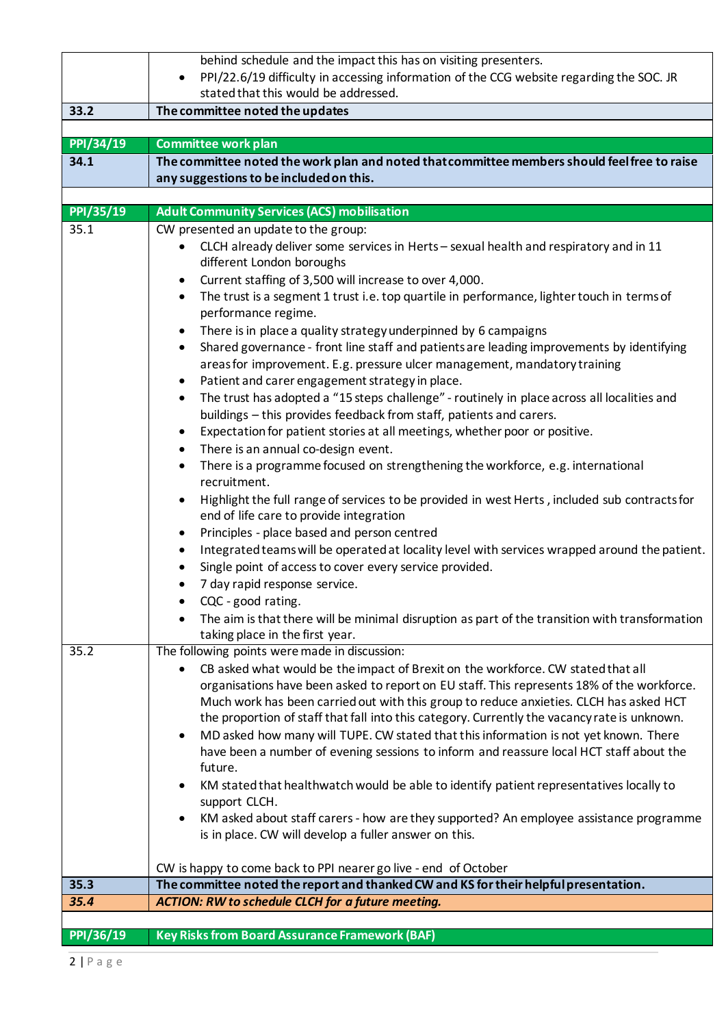|           | behind schedule and the impact this has on visiting presenters.                                                                                                                      |
|-----------|--------------------------------------------------------------------------------------------------------------------------------------------------------------------------------------|
|           | PPI/22.6/19 difficulty in accessing information of the CCG website regarding the SOC. JR<br>$\bullet$                                                                                |
|           | stated that this would be addressed.                                                                                                                                                 |
| 33.2      | The committee noted the updates                                                                                                                                                      |
|           |                                                                                                                                                                                      |
| PPI/34/19 | <b>Committee work plan</b>                                                                                                                                                           |
| 34.1      | The committee noted the work plan and noted that committee members should feel free to raise                                                                                         |
|           | any suggestions to be included on this.                                                                                                                                              |
|           |                                                                                                                                                                                      |
| PPI/35/19 | <b>Adult Community Services (ACS) mobilisation</b>                                                                                                                                   |
| 35.1      | CW presented an update to the group:                                                                                                                                                 |
|           | CLCH already deliver some services in Herts - sexual health and respiratory and in 11<br>$\bullet$<br>different London boroughs                                                      |
|           | Current staffing of 3,500 will increase to over 4,000.<br>٠                                                                                                                          |
|           | The trust is a segment 1 trust i.e. top quartile in performance, lighter touch in terms of<br>٠                                                                                      |
|           | performance regime.                                                                                                                                                                  |
|           | There is in place a quality strategy underpinned by 6 campaigns<br>٠                                                                                                                 |
|           | Shared governance - front line staff and patients are leading improvements by identifying<br>$\bullet$                                                                               |
|           | areas for improvement. E.g. pressure ulcer management, mandatory training                                                                                                            |
|           | Patient and carer engagement strategy in place.<br>$\bullet$                                                                                                                         |
|           | The trust has adopted a "15 steps challenge" - routinely in place across all localities and<br>$\bullet$                                                                             |
|           | buildings - this provides feedback from staff, patients and carers.                                                                                                                  |
|           | Expectation for patient stories at all meetings, whether poor or positive.<br>٠                                                                                                      |
|           | There is an annual co-design event.<br>٠                                                                                                                                             |
|           | There is a programme focused on strengthening the workforce, e.g. international<br>$\bullet$                                                                                         |
|           | recruitment.                                                                                                                                                                         |
|           | Highlight the full range of services to be provided in west Herts, included sub contracts for                                                                                        |
|           | end of life care to provide integration                                                                                                                                              |
|           | Principles - place based and person centred<br>$\bullet$                                                                                                                             |
|           | Integrated teams will be operated at locality level with services wrapped around the patient.<br>٠                                                                                   |
|           | Single point of access to cover every service provided.                                                                                                                              |
|           | 7 day rapid response service.                                                                                                                                                        |
|           | CQC - good rating.                                                                                                                                                                   |
|           | The aim is that there will be minimal disruption as part of the transition with transformation                                                                                       |
|           | taking place in the first year.                                                                                                                                                      |
| 35.2      | The following points were made in discussion:                                                                                                                                        |
|           | CB asked what would be the impact of Brexit on the workforce. CW stated that all                                                                                                     |
|           | organisations have been asked to report on EU staff. This represents 18% of the workforce.<br>Much work has been carried out with this group to reduce anxieties. CLCH has asked HCT |
|           | the proportion of staff that fall into this category. Currently the vacancy rate is unknown.                                                                                         |
|           | MD asked how many will TUPE. CW stated that this information is not yet known. There<br>$\bullet$                                                                                    |
|           | have been a number of evening sessions to inform and reassure local HCT staff about the                                                                                              |
|           | future.                                                                                                                                                                              |
|           | KM stated that healthwatch would be able to identify patient representatives locally to                                                                                              |
|           | support CLCH.                                                                                                                                                                        |
|           | KM asked about staff carers - how are they supported? An employee assistance programme<br>$\bullet$                                                                                  |
|           | is in place. CW will develop a fuller answer on this.                                                                                                                                |
|           |                                                                                                                                                                                      |
|           | CW is happy to come back to PPI nearer go live - end of October                                                                                                                      |
| 35.3      | The committee noted the report and thanked CW and KS for their helpful presentation.                                                                                                 |
| 35.4      | <b>ACTION: RW to schedule CLCH for a future meeting.</b>                                                                                                                             |
|           |                                                                                                                                                                                      |
| PPI/36/19 | <b>Key Risks from Board Assurance Framework (BAF)</b>                                                                                                                                |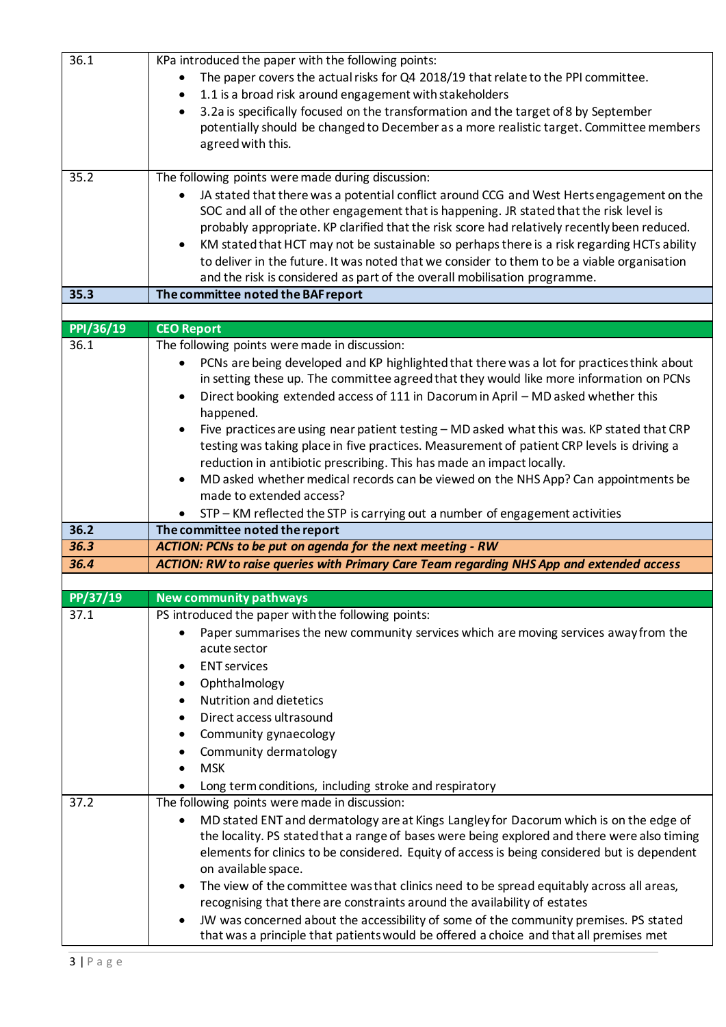| 36.1      | KPa introduced the paper with the following points:                                                      |
|-----------|----------------------------------------------------------------------------------------------------------|
|           | The paper covers the actual risks for Q4 2018/19 that relate to the PPI committee.                       |
|           |                                                                                                          |
|           | 1.1 is a broad risk around engagement with stakeholders                                                  |
|           | 3.2a is specifically focused on the transformation and the target of 8 by September                      |
|           | potentially should be changed to December as a more realistic target. Committee members                  |
|           | agreed with this.                                                                                        |
|           |                                                                                                          |
| 35.2      | The following points were made during discussion:                                                        |
|           | JA stated that there was a potential conflict around CCG and West Herts engagement on the                |
|           | SOC and all of the other engagement that is happening. JR stated that the risk level is                  |
|           | probably appropriate. KP clarified that the risk score had relatively recently been reduced.             |
|           | KM stated that HCT may not be sustainable so perhaps there is a risk regarding HCTs ability<br>$\bullet$ |
|           | to deliver in the future. It was noted that we consider to them to be a viable organisation              |
|           | and the risk is considered as part of the overall mobilisation programme.                                |
| 35.3      | The committee noted the BAF report                                                                       |
|           |                                                                                                          |
| PPI/36/19 |                                                                                                          |
|           | <b>CEO Report</b>                                                                                        |
| 36.1      | The following points were made in discussion:                                                            |
|           | PCNs are being developed and KP highlighted that there was a lot for practices think about               |
|           | in setting these up. The committee agreed that they would like more information on PCNs                  |
|           | Direct booking extended access of 111 in Dacorum in April - MD asked whether this<br>$\bullet$           |
|           | happened.                                                                                                |
|           | Five practices are using near patient testing - MD asked what this was. KP stated that CRP               |
|           | testing was taking place in five practices. Measurement of patient CRP levels is driving a               |
|           | reduction in antibiotic prescribing. This has made an impact locally.                                    |
|           | MD asked whether medical records can be viewed on the NHS App? Can appointments be<br>$\bullet$          |
|           | made to extended access?                                                                                 |
|           | STP - KM reflected the STP is carrying out a number of engagement activities                             |
| 36.2      | The committee noted the report                                                                           |
| 36.3      | ACTION: PCNs to be put on agenda for the next meeting - RW                                               |
| 36.4      | <b>ACTION: RW to raise queries with Primary Care Team regarding NHS App and extended access</b>          |
|           |                                                                                                          |
| PP/37/19  | <b>New community pathways</b>                                                                            |
| 37.1      | PS introduced the paper with the following points:                                                       |
|           |                                                                                                          |
|           | Paper summarises the new community services which are moving services away from the                      |
|           | acute sector                                                                                             |
|           | <b>ENT</b> services                                                                                      |
|           | Ophthalmology                                                                                            |
|           | <b>Nutrition and dietetics</b>                                                                           |
|           | Direct access ultrasound                                                                                 |
|           | Community gynaecology                                                                                    |
|           | Community dermatology                                                                                    |
|           | <b>MSK</b>                                                                                               |
|           | Long term conditions, including stroke and respiratory                                                   |
| 37.2      | The following points were made in discussion:                                                            |
|           | MD stated ENT and dermatology are at Kings Langley for Dacorum which is on the edge of<br>٠              |
|           | the locality. PS stated that a range of bases were being explored and there were also timing             |
|           | elements for clinics to be considered. Equity of access is being considered but is dependent             |
|           | on available space.                                                                                      |
|           |                                                                                                          |
|           | The view of the committee was that clinics need to be spread equitably across all areas,<br>٠            |
|           | recognising that there are constraints around the availability of estates                                |
|           | JW was concerned about the accessibility of some of the community premises. PS stated                    |
|           | that was a principle that patients would be offered a choice and that all premises met                   |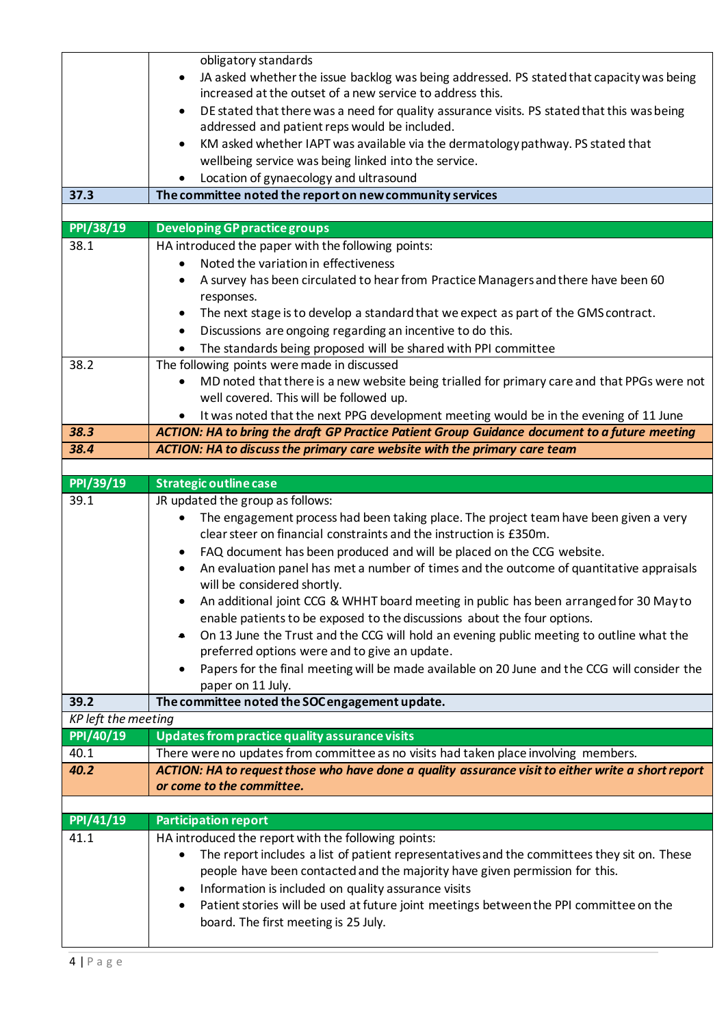|                     | obligatory standards                                                                                                                               |
|---------------------|----------------------------------------------------------------------------------------------------------------------------------------------------|
|                     | JA asked whether the issue backlog was being addressed. PS stated that capacity was being                                                          |
|                     | increased at the outset of a new service to address this.                                                                                          |
|                     | DE stated that there was a need for quality assurance visits. PS stated that this was being<br>$\bullet$                                           |
|                     | addressed and patient reps would be included.                                                                                                      |
|                     | KM asked whether IAPT was available via the dermatology pathway. PS stated that<br>$\bullet$                                                       |
|                     | wellbeing service was being linked into the service.                                                                                               |
|                     | Location of gynaecology and ultrasound                                                                                                             |
| 37.3                | The committee noted the report on new community services                                                                                           |
| PPI/38/19           | <b>Developing GP practice groups</b>                                                                                                               |
| 38.1                | HA introduced the paper with the following points:                                                                                                 |
|                     | Noted the variation in effectiveness<br>$\bullet$                                                                                                  |
|                     | A survey has been circulated to hear from Practice Managers and there have been 60<br>٠                                                            |
|                     | responses.                                                                                                                                         |
|                     | The next stage is to develop a standard that we expect as part of the GMS contract.<br>٠                                                           |
|                     | Discussions are ongoing regarding an incentive to do this.<br>$\bullet$                                                                            |
|                     | The standards being proposed will be shared with PPI committee                                                                                     |
| 38.2                | The following points were made in discussed                                                                                                        |
|                     | MD noted that there is a new website being trialled for primary care and that PPGs were not<br>$\bullet$                                           |
|                     | well covered. This will be followed up.                                                                                                            |
|                     | It was noted that the next PPG development meeting would be in the evening of 11 June                                                              |
| 38.3                | ACTION: HA to bring the draft GP Practice Patient Group Guidance document to a future meeting                                                      |
| 38.4                | ACTION: HA to discuss the primary care website with the primary care team                                                                          |
|                     |                                                                                                                                                    |
| PPI/39/19           | <b>Strategic outline case</b>                                                                                                                      |
| 39.1                | JR updated the group as follows:                                                                                                                   |
|                     | The engagement process had been taking place. The project team have been given a very                                                              |
|                     | clear steer on financial constraints and the instruction is £350m.                                                                                 |
|                     | FAQ document has been produced and will be placed on the CCG website.<br>٠                                                                         |
|                     | An evaluation panel has met a number of times and the outcome of quantitative appraisals                                                           |
|                     | will be considered shortly.                                                                                                                        |
|                     | An additional joint CCG & WHHT board meeting in public has been arranged for 30 May to<br>٠                                                        |
|                     |                                                                                                                                                    |
|                     | enable patients to be exposed to the discussions about the four options.                                                                           |
|                     | On 13 June the Trust and the CCG will hold an evening public meeting to outline what the<br>۰                                                      |
|                     | preferred options were and to give an update.                                                                                                      |
|                     | Papers for the final meeting will be made available on 20 June and the CCG will consider the                                                       |
|                     | paper on 11 July.                                                                                                                                  |
| 39.2                | The committee noted the SOC engagement update.                                                                                                     |
| KP left the meeting |                                                                                                                                                    |
| PPI/40/19           | Updates from practice quality assurance visits                                                                                                     |
| 40.1                | There were no updates from committee as no visits had taken place involving members.                                                               |
| 40.2                | ACTION: HA to request those who have done a quality assurance visit to either write a short report                                                 |
|                     | or come to the committee.                                                                                                                          |
|                     |                                                                                                                                                    |
| PPI/41/19<br>41.1   | <b>Participation report</b>                                                                                                                        |
|                     | HA introduced the report with the following points:<br>The report includes a list of patient representatives and the committees they sit on. These |
|                     | people have been contacted and the majority have given permission for this.                                                                        |
|                     | Information is included on quality assurance visits<br>٠                                                                                           |
|                     | Patient stories will be used at future joint meetings between the PPI committee on the<br>٠                                                        |
|                     | board. The first meeting is 25 July.                                                                                                               |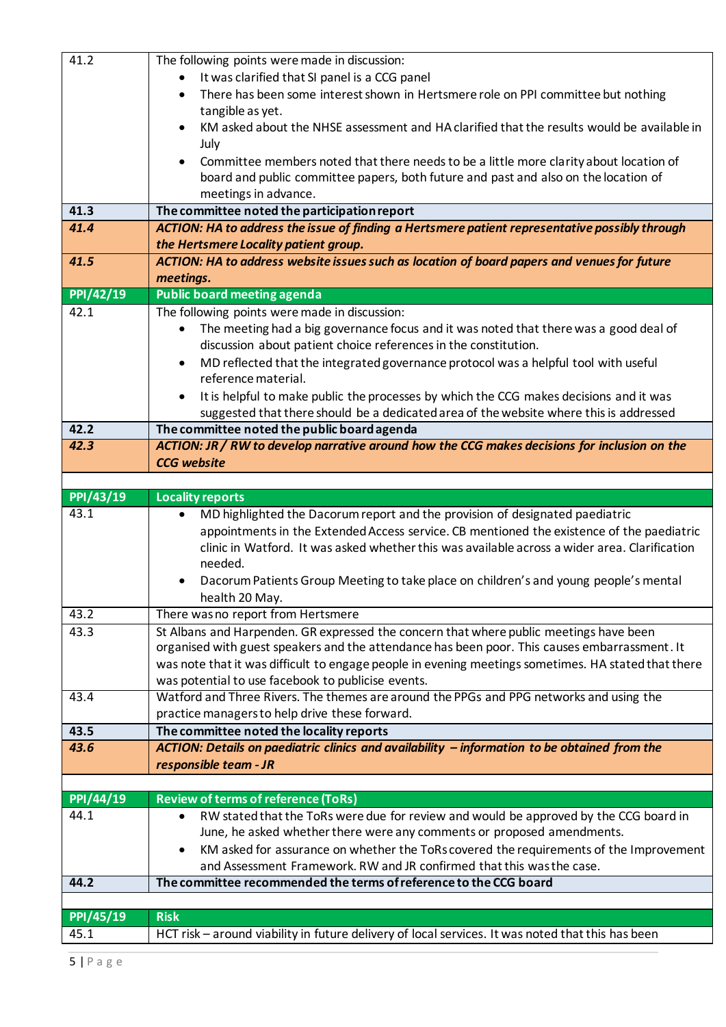| 41.2      | The following points were made in discussion:                                                                                                                   |
|-----------|-----------------------------------------------------------------------------------------------------------------------------------------------------------------|
|           | It was clarified that SI panel is a CCG panel                                                                                                                   |
|           | There has been some interest shown in Hertsmere role on PPI committee but nothing                                                                               |
|           | tangible as yet.                                                                                                                                                |
|           | KM asked about the NHSE assessment and HA clarified that the results would be available in                                                                      |
|           | July                                                                                                                                                            |
|           | Committee members noted that there needs to be a little more clarity about location of<br>$\bullet$                                                             |
|           | board and public committee papers, both future and past and also on the location of                                                                             |
|           | meetings in advance.                                                                                                                                            |
| 41.3      | The committee noted the participation report                                                                                                                    |
| 41.4      | ACTION: HA to address the issue of finding a Hertsmere patient representative possibly through                                                                  |
|           | the Hertsmere Locality patient group.                                                                                                                           |
| 41.5      | ACTION: HA to address website issues such as location of board papers and venues for future                                                                     |
|           | meetings.                                                                                                                                                       |
| PPI/42/19 | <b>Public board meeting agenda</b>                                                                                                                              |
| 42.1      | The following points were made in discussion:                                                                                                                   |
|           | The meeting had a big governance focus and it was noted that there was a good deal of<br>٠                                                                      |
|           | discussion about patient choice references in the constitution.                                                                                                 |
|           | MD reflected that the integrated governance protocol was a helpful tool with useful                                                                             |
|           | reference material.                                                                                                                                             |
|           | It is helpful to make public the processes by which the CCG makes decisions and it was<br>$\bullet$                                                             |
|           | suggested that there should be a dedicated area of the website where this is addressed                                                                          |
| 42.2      | The committee noted the public board agenda                                                                                                                     |
| 42.3      | ACTION: JR / RW to develop narrative around how the CCG makes decisions for inclusion on the                                                                    |
|           | <b>CCG</b> website                                                                                                                                              |
|           |                                                                                                                                                                 |
| PPI/43/19 | <b>Locality reports</b>                                                                                                                                         |
|           |                                                                                                                                                                 |
| 43.1      | MD highlighted the Dacorum report and the provision of designated paediatric<br>$\bullet$                                                                       |
|           | appointments in the Extended Access service. CB mentioned the existence of the paediatric                                                                       |
|           | clinic in Watford. It was asked whether this was available across a wider area. Clarification                                                                   |
|           | needed.                                                                                                                                                         |
|           | Dacorum Patients Group Meeting to take place on children's and young people's mental                                                                            |
|           | health 20 May.                                                                                                                                                  |
| 43.2      | There was no report from Hertsmere                                                                                                                              |
| 43.3      | St Albans and Harpenden. GR expressed the concern that where public meetings have been                                                                          |
|           | organised with guest speakers and the attendance has been poor. This causes embarrassment. It                                                                   |
|           | was note that it was difficult to engage people in evening meetings sometimes. HA stated that there                                                             |
|           | was potential to use facebook to publicise events.                                                                                                              |
| 43.4      | Watford and Three Rivers. The themes are around the PPGs and PPG networks and using the                                                                         |
|           | practice managers to help drive these forward.                                                                                                                  |
| 43.5      | The committee noted the locality reports                                                                                                                        |
| 43.6      | ACTION: Details on paediatric clinics and availability - information to be obtained from the                                                                    |
|           | responsible team - JR                                                                                                                                           |
|           |                                                                                                                                                                 |
| PPI/44/19 | <b>Review of terms of reference (ToRs)</b><br>$\bullet$                                                                                                         |
| 44.1      | RW stated that the ToRs were due for review and would be approved by the CCG board in                                                                           |
|           | June, he asked whether there were any comments or proposed amendments.<br>$\bullet$                                                                             |
|           | KM asked for assurance on whether the ToRs covered the requirements of the Improvement<br>and Assessment Framework. RW and JR confirmed that this was the case. |
| 44.2      | The committee recommended the terms of reference to the CCG board                                                                                               |
|           |                                                                                                                                                                 |
| PPI/45/19 | <b>Risk</b>                                                                                                                                                     |
| 45.1      | HCT risk - around viability in future delivery of local services. It was noted that this has been                                                               |